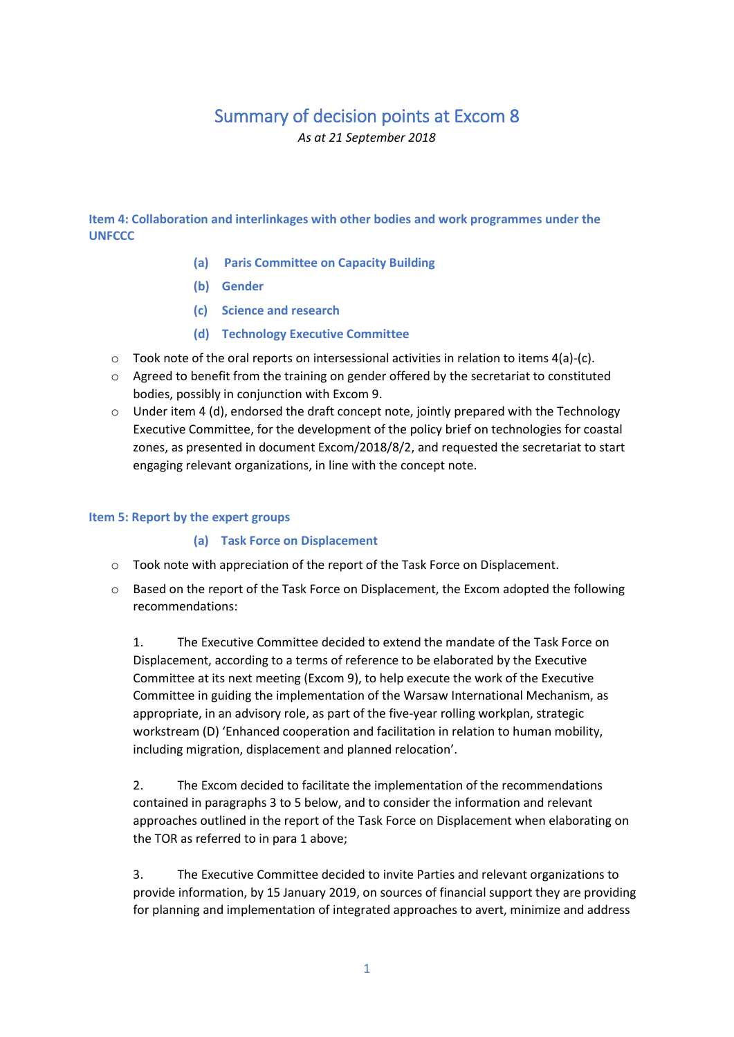# Summary of decision points at Excom 8

*As at 21 September 2018* 

**Item 4: Collaboration and interlinkages with other bodies and work programmes under the UNFCCC** 

- **(a) Paris Committee on Capacity Building**
- **(b) Gender**
- **(c) Science and research**
- **(d) Technology Executive Committee**
- $\circ$  Took note of the oral reports on intersessional activities in relation to items 4(a)-(c).
- $\circ$  Agreed to benefit from the training on gender offered by the secretariat to constituted bodies, possibly in conjunction with Excom 9.
- $\circ$  Under item 4 (d), endorsed the draft concept note, jointly prepared with the Technology Executive Committee, for the development of the policy brief on technologies for coastal zones, as presented in document Excom/2018/8/2, and requested the secretariat to start engaging relevant organizations, in line with the concept note.

#### **Item 5: Report by the expert groups**

#### **(a) Task Force on Displacement**

- o Took note with appreciation of the report of the Task Force on Displacement.
- o Based on the report of the Task Force on Displacement, the Excom adopted the following recommendations:

1. The Executive Committee decided to extend the mandate of the Task Force on Displacement, according to a terms of reference to be elaborated by the Executive Committee at its next meeting (Excom 9), to help execute the work of the Executive Committee in guiding the implementation of the Warsaw International Mechanism, as appropriate, in an advisory role, as part of the five-year rolling workplan, strategic workstream (D) 'Enhanced cooperation and facilitation in relation to human mobility, including migration, displacement and planned relocation'.

2. The Excom decided to facilitate the implementation of the recommendations contained in paragraphs 3 to 5 below, and to consider the information and relevant approaches outlined in the report of the Task Force on Displacement when elaborating on the TOR as referred to in para 1 above;

3. The Executive Committee decided to invite Parties and relevant organizations to provide information, by 15 January 2019, on sources of financial support they are providing for planning and implementation of integrated approaches to avert, minimize and address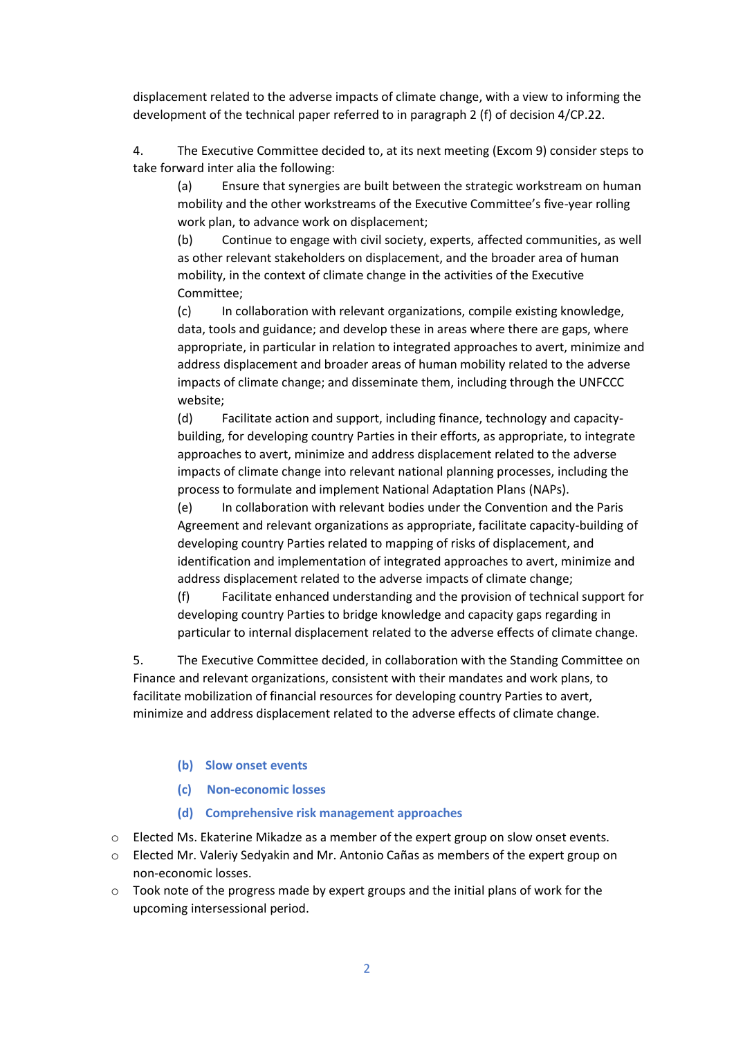displacement related to the adverse impacts of climate change, with a view to informing the development of the technical paper referred to in paragraph 2 (f) of decision 4/CP.22.

4. The Executive Committee decided to, at its next meeting (Excom 9) consider steps to take forward inter alia the following:

(a) Ensure that synergies are built between the strategic workstream on human mobility and the other workstreams of the Executive Committee's five-year rolling work plan, to advance work on displacement;

(b) Continue to engage with civil society, experts, affected communities, as well as other relevant stakeholders on displacement, and the broader area of human mobility, in the context of climate change in the activities of the Executive Committee;

(c) In collaboration with relevant organizations, compile existing knowledge, data, tools and guidance; and develop these in areas where there are gaps, where appropriate, in particular in relation to integrated approaches to avert, minimize and address displacement and broader areas of human mobility related to the adverse impacts of climate change; and disseminate them, including through the UNFCCC website;

(d) Facilitate action and support, including finance, technology and capacitybuilding, for developing country Parties in their efforts, as appropriate, to integrate approaches to avert, minimize and address displacement related to the adverse impacts of climate change into relevant national planning processes, including the process to formulate and implement National Adaptation Plans (NAPs).

(e) In collaboration with relevant bodies under the Convention and the Paris Agreement and relevant organizations as appropriate, facilitate capacity-building of developing country Parties related to mapping of risks of displacement, and identification and implementation of integrated approaches to avert, minimize and address displacement related to the adverse impacts of climate change;

(f) Facilitate enhanced understanding and the provision of technical support for developing country Parties to bridge knowledge and capacity gaps regarding in particular to internal displacement related to the adverse effects of climate change.

5. The Executive Committee decided, in collaboration with the Standing Committee on Finance and relevant organizations, consistent with their mandates and work plans, to facilitate mobilization of financial resources for developing country Parties to avert, minimize and address displacement related to the adverse effects of climate change.

#### **(b) Slow onset events**

- **(c) Non-economic losses**
- **(d) Comprehensive risk management approaches**
- o Elected Ms. Ekaterine Mikadze as a member of the expert group on slow onset events.
- o Elected Mr. Valeriy Sedyakin and Mr. Antonio Cañas as members of the expert group on non-economic losses.
- $\circ$  Took note of the progress made by expert groups and the initial plans of work for the upcoming intersessional period.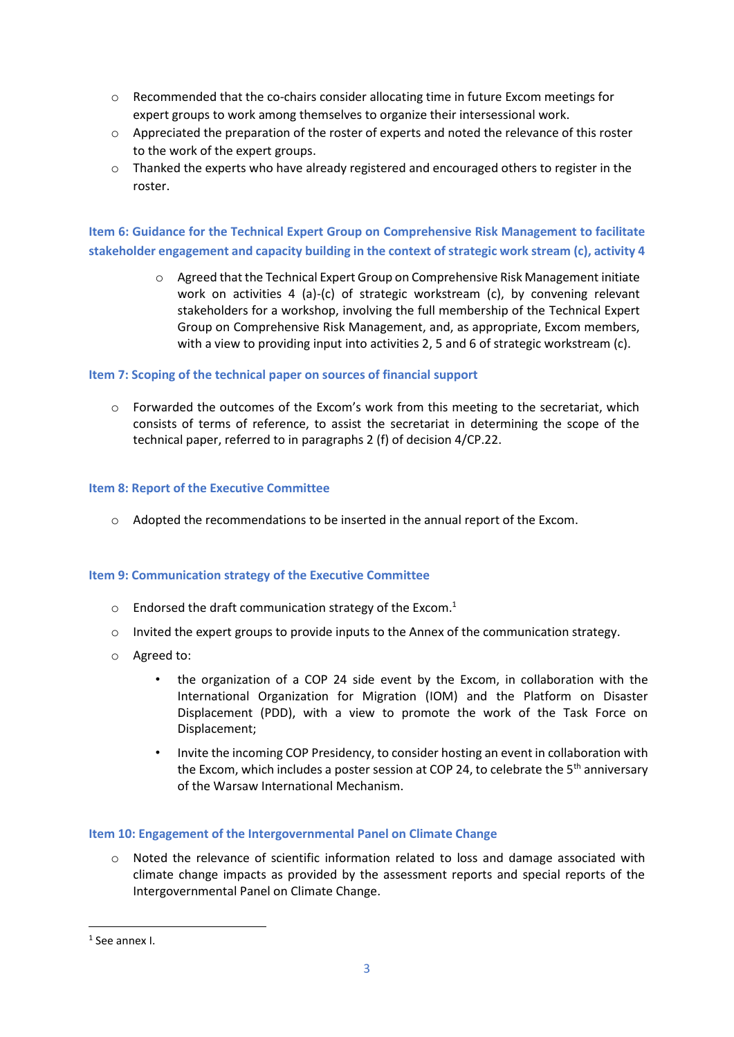- o Recommended that the co-chairs consider allocating time in future Excom meetings for expert groups to work among themselves to organize their intersessional work.
- o Appreciated the preparation of the roster of experts and noted the relevance of this roster to the work of the expert groups.
- $\circ$  Thanked the experts who have already registered and encouraged others to register in the roster.

**Item 6: Guidance for the Technical Expert Group on Comprehensive Risk Management to facilitate stakeholder engagement and capacity building in the context of strategic work stream (c), activity 4**

> o Agreed that the Technical Expert Group on Comprehensive Risk Management initiate work on activities 4 (a)-(c) of strategic workstream (c), by convening relevant stakeholders for a workshop, involving the full membership of the Technical Expert Group on Comprehensive Risk Management, and, as appropriate, Excom members, with a view to providing input into activities 2, 5 and 6 of strategic workstream (c).

#### **Item 7: Scoping of the technical paper on sources of financial support**

 $\circ$  Forwarded the outcomes of the Excom's work from this meeting to the secretariat, which consists of terms of reference, to assist the secretariat in determining the scope of the technical paper, referred to in paragraphs 2 (f) of decision 4/CP.22.

#### **Item 8: Report of the Executive Committee**

 $\circ$  Adopted the recommendations to be inserted in the annual report of the Excom.

#### **Item 9: Communication strategy of the Executive Committee**

- $\circ$  Endorsed the draft communication strategy of the Excom.<sup>1</sup>
- o Invited the expert groups to provide inputs to the Annex of the communication strategy.
- o Agreed to:
	- the organization of a COP 24 side event by the Excom, in collaboration with the International Organization for Migration (IOM) and the Platform on Disaster Displacement (PDD), with a view to promote the work of the Task Force on Displacement;
	- Invite the incoming COP Presidency, to consider hosting an event in collaboration with the Excom, which includes a poster session at COP 24, to celebrate the 5<sup>th</sup> anniversary of the Warsaw International Mechanism.

#### **Item 10: Engagement of the Intergovernmental Panel on Climate Change**

 $\circ$  Noted the relevance of scientific information related to loss and damage associated with climate change impacts as provided by the assessment reports and special reports of the Intergovernmental Panel on Climate Change.

**.** 

<sup>1</sup> See annex I.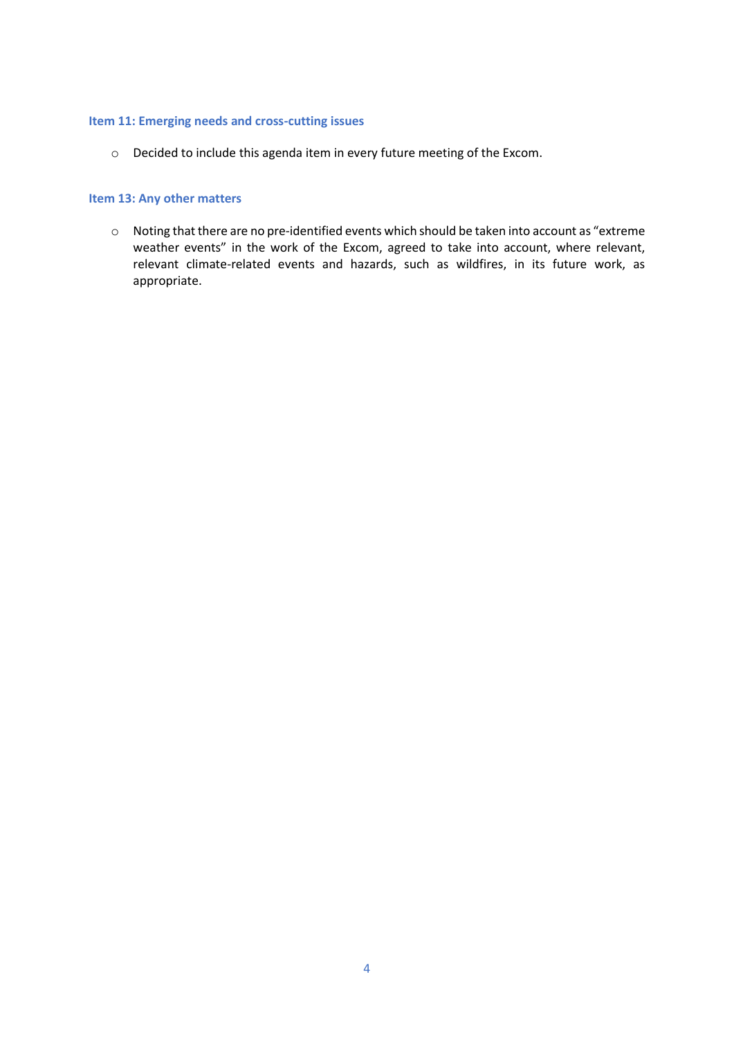#### **Item 11: Emerging needs and cross-cutting issues**

o Decided to include this agenda item in every future meeting of the Excom.

#### **Item 13: Any other matters**

o Noting that there are no pre-identified events which should be taken into account as "extreme weather events" in the work of the Excom, agreed to take into account, where relevant, relevant climate-related events and hazards, such as wildfires, in its future work, as appropriate.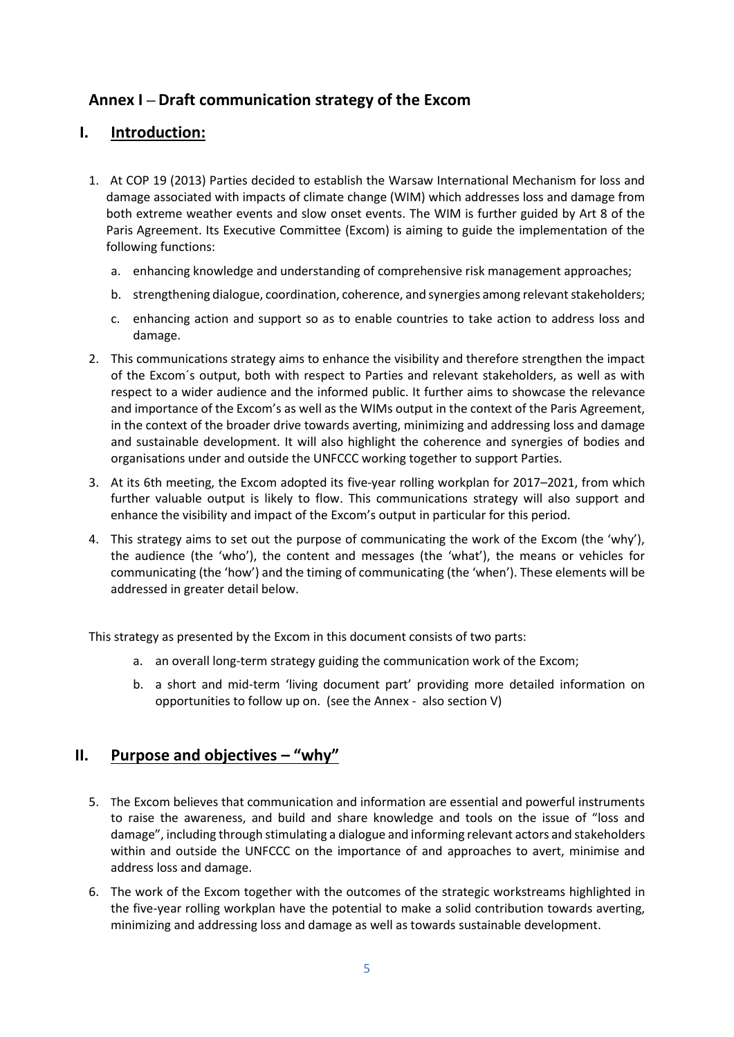# **Annex I – Draft communication strategy of the Excom**

## **I. Introduction:**

- 1. At COP 19 (2013) Parties decided to establish the Warsaw International Mechanism for loss and damage associated with impacts of climate change (WIM) which addresses loss and damage from both extreme weather events and slow onset events. The WIM is further guided by Art 8 of the Paris Agreement. Its Executive Committee (Excom) is aiming to guide the implementation of the following functions:
	- a. enhancing knowledge and understanding of comprehensive risk management approaches;
	- b. strengthening dialogue, coordination, coherence, and synergies among relevant stakeholders;
	- c. enhancing action and support so as to enable countries to take action to address loss and damage.
- 2. This communications strategy aims to enhance the visibility and therefore strengthen the impact of the Excom´s output, both with respect to Parties and relevant stakeholders, as well as with respect to a wider audience and the informed public. It further aims to showcase the relevance and importance of the Excom's as well as the WIMs output in the context of the Paris Agreement, in the context of the broader drive towards averting, minimizing and addressing loss and damage and sustainable development. It will also highlight the coherence and synergies of bodies and organisations under and outside the UNFCCC working together to support Parties.
- 3. At its 6th meeting, the Excom adopted its five-year rolling workplan for 2017–2021, from which further valuable output is likely to flow. This communications strategy will also support and enhance the visibility and impact of the Excom's output in particular for this period.
- 4. This strategy aims to set out the purpose of communicating the work of the Excom (the 'why'), the audience (the 'who'), the content and messages (the 'what'), the means or vehicles for communicating (the 'how') and the timing of communicating (the 'when'). These elements will be addressed in greater detail below.

This strategy as presented by the Excom in this document consists of two parts:

- a. an overall long-term strategy guiding the communication work of the Excom;
- b. a short and mid-term 'living document part' providing more detailed information on opportunities to follow up on. (see the Annex - also section V)

# **II. Purpose and objectives – "why"**

- 5. The Excom believes that communication and information are essential and powerful instruments to raise the awareness, and build and share knowledge and tools on the issue of "loss and damage", including through stimulating a dialogue and informing relevant actors and stakeholders within and outside the UNFCCC on the importance of and approaches to avert, minimise and address loss and damage.
- 6. The work of the Excom together with the outcomes of the strategic workstreams highlighted in the five-year rolling workplan have the potential to make a solid contribution towards averting, minimizing and addressing loss and damage as well as towards sustainable development.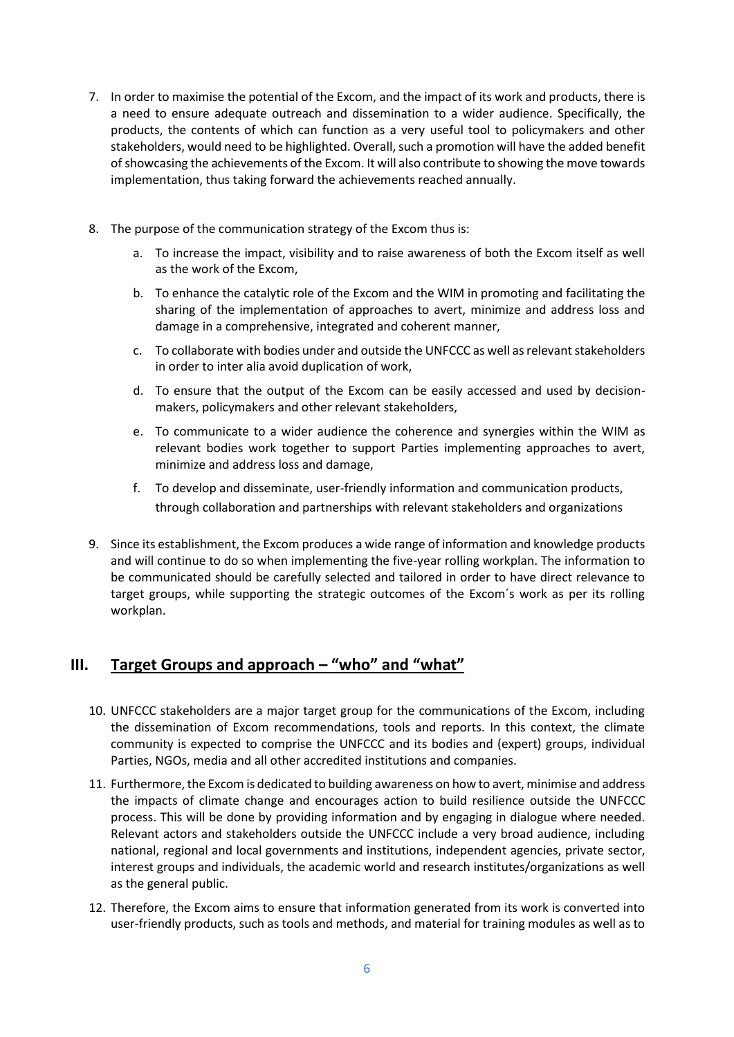- 7. In order to maximise the potential of the Excom, and the impact of its work and products, there is a need to ensure adequate outreach and dissemination to a wider audience. Specifically, the products, the contents of which can function as a very useful tool to policymakers and other stakeholders, would need to be highlighted. Overall, such a promotion will have the added benefit of showcasing the achievements of the Excom. It will also contribute to showing the move towards implementation, thus taking forward the achievements reached annually.
- 8. The purpose of the communication strategy of the Excom thus is:
	- a. To increase the impact, visibility and to raise awareness of both the Excom itself as well as the work of the Excom,
	- b. To enhance the catalytic role of the Excom and the WIM in promoting and facilitating the sharing of the implementation of approaches to avert, minimize and address loss and damage in a comprehensive, integrated and coherent manner,
	- c. To collaborate with bodies under and outside the UNFCCC as well as relevant stakeholders in order to inter alia avoid duplication of work,
	- d. To ensure that the output of the Excom can be easily accessed and used by decisionmakers, policymakers and other relevant stakeholders,
	- e. To communicate to a wider audience the coherence and synergies within the WIM as relevant bodies work together to support Parties implementing approaches to avert, minimize and address loss and damage,
	- f. To develop and disseminate, user-friendly information and communication products, through collaboration and partnerships with relevant stakeholders and organizations
- 9. Since its establishment, the Excom produces a wide range of information and knowledge products and will continue to do so when implementing the five-year rolling workplan. The information to be communicated should be carefully selected and tailored in order to have direct relevance to target groups, while supporting the strategic outcomes of the Excom´s work as per its rolling workplan.

## **III.** Target Groups and approach – "who" and "what"

- 10. UNFCCC stakeholders are a major target group for the communications of the Excom, including the dissemination of Excom recommendations, tools and reports. In this context, the climate community is expected to comprise the UNFCCC and its bodies and (expert) groups, individual Parties, NGOs, media and all other accredited institutions and companies.
- 11. Furthermore, the Excom is dedicated to building awareness on how to avert, minimise and address the impacts of climate change and encourages action to build resilience outside the UNFCCC process. This will be done by providing information and by engaging in dialogue where needed. Relevant actors and stakeholders outside the UNFCCC include a very broad audience, including national, regional and local governments and institutions, independent agencies, private sector, interest groups and individuals, the academic world and research institutes/organizations as well as the general public.
- 12. Therefore, the Excom aims to ensure that information generated from its work is converted into user-friendly products, such as tools and methods, and material for training modules as well as to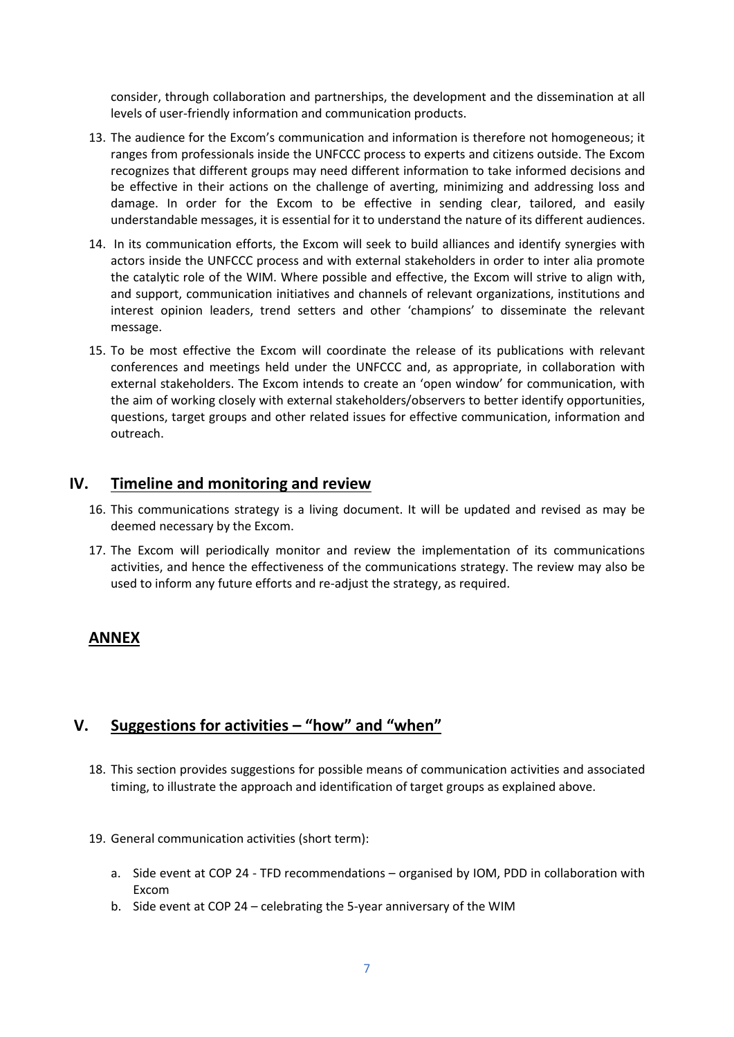consider, through collaboration and partnerships, the development and the dissemination at all levels of user-friendly information and communication products.

- 13. The audience for the Excom's communication and information is therefore not homogeneous; it ranges from professionals inside the UNFCCC process to experts and citizens outside. The Excom recognizes that different groups may need different information to take informed decisions and be effective in their actions on the challenge of averting, minimizing and addressing loss and damage. In order for the Excom to be effective in sending clear, tailored, and easily understandable messages, it is essential for it to understand the nature of its different audiences.
- 14. In its communication efforts, the Excom will seek to build alliances and identify synergies with actors inside the UNFCCC process and with external stakeholders in order to inter alia promote the catalytic role of the WIM. Where possible and effective, the Excom will strive to align with, and support, communication initiatives and channels of relevant organizations, institutions and interest opinion leaders, trend setters and other 'champions' to disseminate the relevant message.
- 15. To be most effective the Excom will coordinate the release of its publications with relevant conferences and meetings held under the UNFCCC and, as appropriate, in collaboration with external stakeholders. The Excom intends to create an 'open window' for communication, with the aim of working closely with external stakeholders/observers to better identify opportunities, questions, target groups and other related issues for effective communication, information and outreach.

## **IV. Timeline and monitoring and review**

- 16. This communications strategy is a living document. It will be updated and revised as may be deemed necessary by the Excom.
- 17. The Excom will periodically monitor and review the implementation of its communications activities, and hence the effectiveness of the communications strategy. The review may also be used to inform any future efforts and re-adjust the strategy, as required.

## **ANNEX**

## **V. Suggestions for activities – "how" and "when"**

- 18. This section provides suggestions for possible means of communication activities and associated timing, to illustrate the approach and identification of target groups as explained above.
- 19. General communication activities (short term):
	- a. Side event at COP 24 TFD recommendations organised by IOM, PDD in collaboration with Excom
	- b. Side event at COP 24 celebrating the 5-year anniversary of the WIM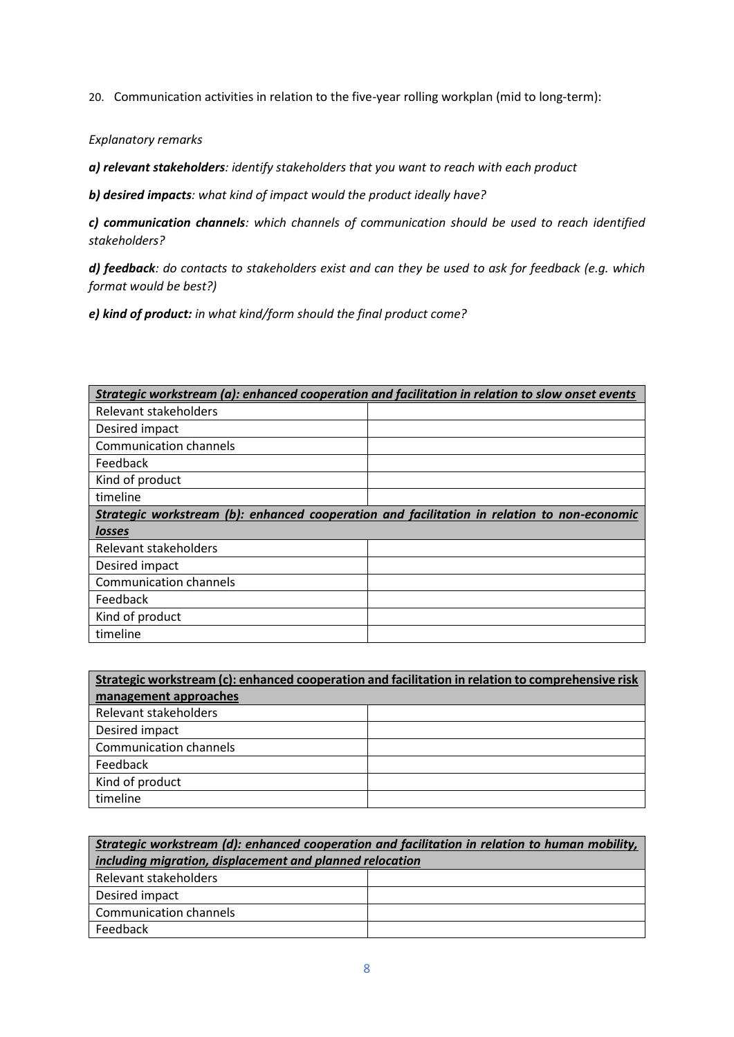20. Communication activities in relation to the five-year rolling workplan (mid to long-term):

*Explanatory remarks*

*a) relevant stakeholders: identify stakeholders that you want to reach with each product*

*b) desired impacts: what kind of impact would the product ideally have?*

*c) communication channels: which channels of communication should be used to reach identified stakeholders?*

*d) feedback: do contacts to stakeholders exist and can they be used to ask for feedback (e.g. which format would be best?)*

*e) kind of product: in what kind/form should the final product come?*

| Strategic workstream (a): enhanced cooperation and facilitation in relation to slow onset events |  |
|--------------------------------------------------------------------------------------------------|--|
| Relevant stakeholders                                                                            |  |
| Desired impact                                                                                   |  |
| <b>Communication channels</b>                                                                    |  |
| Feedback                                                                                         |  |
| Kind of product                                                                                  |  |
| timeline                                                                                         |  |
| Strategic workstream (b): enhanced cooperation and facilitation in relation to non-economic      |  |
| losses                                                                                           |  |
| Relevant stakeholders                                                                            |  |
| Desired impact                                                                                   |  |
| <b>Communication channels</b>                                                                    |  |
| Feedback                                                                                         |  |
| Kind of product                                                                                  |  |
| timeline                                                                                         |  |

| Strategic workstream (c): enhanced cooperation and facilitation in relation to comprehensive risk |  |
|---------------------------------------------------------------------------------------------------|--|
| management approaches                                                                             |  |
| Relevant stakeholders                                                                             |  |
| Desired impact                                                                                    |  |
| <b>Communication channels</b>                                                                     |  |
| Feedback                                                                                          |  |
| Kind of product                                                                                   |  |
| timeline                                                                                          |  |

| Strategic workstream (d): enhanced cooperation and facilitation in relation to human mobility, |  |  |
|------------------------------------------------------------------------------------------------|--|--|
| including migration, displacement and planned relocation                                       |  |  |
| Relevant stakeholders                                                                          |  |  |
| Desired impact                                                                                 |  |  |
| Communication channels                                                                         |  |  |
| Feedback                                                                                       |  |  |